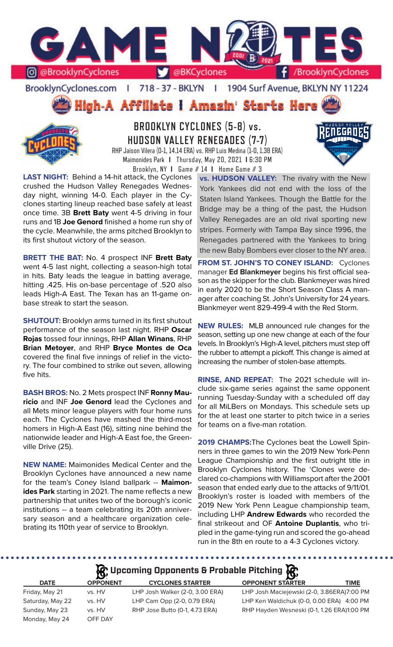

BrooklynCyclones.com | 718 - 37 - BKLYN | 1904 Surf Avenue, BKLYN NY 11224





**BROOKLYN CYCLONES (5-8) vs. HUDSON VALLEY RENEGADES (7-7)** RHP Jaison Vilera (0-1, 14.14 ERA) vs. RHP Luis Medina (1-0, 1.38 ERA) Maimonides Park **I** Thursday, May 20, 2021 **I** 6:30 PM Brooklyn, NY **I** Game # 14 **I** Home Game # 3



**LAST NIGHT:** Behind a 14-hit attack, the Cyclones crushed the Hudson Valley Renegades Wednesday night, winning 14-0. Each player in the Cyclones starting lineup reached base safely at least once time. 3B **Brett Baty** went 4-5 driving in four runs and 1B **Joe Genord** finished a home run shy of the cycle. Meanwhile, the arms pitched Brooklyn to its first shutout victory of the season.

**BRETT THE BAT:** No. 4 prospect INF **Brett Baty** went 4-5 last night, collecting a season-high total in hits. Baty leads the league in batting average, hitting .425. His on-base percentage of .520 also leads High-A East. The Texan has an 11-game onbase streak to start the season.

**SHUTOUT:** Brooklyn arms turned in its first shutout performance of the season last night. RHP **Oscar Rojas** tossed four innings, RHP **Allan Winans**, RHP **Brian Metoyer**, and RHP **Bryce Montes de Oca** covered the final five innings of relief in the victory. The four combined to strike out seven, allowing five hits.

**BASH BROS:** No. 2 Mets prospect INF **Ronny Mauricio** and INF **Joe Genord** lead the Cyclones and all Mets minor league players with four home runs each. The Cyclones have mashed the third-most homers in High-A East (16), sitting nine behind the nationwide leader and High-A East foe, the Greenville Drive (25).

**NEW NAME:** Maimonides Medical Center and the Brooklyn Cyclones have announced a new name for the team's Coney Island ballpark -- **Maimonides Park** starting in 2021. The name reflects a new partnership that unites two of the borough's iconic institutions -- a team celebrating its 20th anniversary season and a healthcare organization celebrating its 110th year of service to Brooklyn.

**vs. HUDSON VALLEY:** The rivalry with the New York Yankees did not end with the loss of the Staten Island Yankees. Though the Battle for the Bridge may be a thing of the past, the Hudson Valley Renegades are an old rival sporting new stripes. Formerly with Tampa Bay since 1996, the Renegades partnered with the Yankees to bring the new Baby Bombers ever closer to the NY area.

**FROM ST. JOHN'S TO CONEY ISLAND:** Cyclones manager **Ed Blankmeyer** begins his first official season as the skipper for the club. Blankmeyer was hired in early 2020 to be the Short Season Class A manager after coaching St. John's University for 24 years. Blankmeyer went 829-499-4 with the Red Storm.

**NEW RULES:** MLB announced rule changes for the season, setting up one new change at each of the four levels. In Brooklyn's High-A level, pitchers must step off the rubber to attempt a pickoff. This change is aimed at increasing the number of stolen-base attempts.

**RINSE, AND REPEAT:** The 2021 schedule will include six-game series against the same opponent running Tuesday-Sunday with a scheduled off day for all MiLBers on Mondays. This schedule sets up for the at least one starter to pitch twice in a series for teams on a five-man rotation.

**2019 CHAMPS:**The Cyclones beat the Lowell Spinners in three games to win the 2019 New York-Penn League Championship and the first outright title in Brooklyn Cyclones history. The 'Clones were declared co-champions with Williamsport after the 2001 season that ended early due to the attacks of 9/11/01. Brooklyn's roster is loaded with members of the 2019 New York Penn League championship team, including LHP **Andrew Edwards** who recorded the final strikeout and OF **Antoine Duplantis**, who tripled in the game-tying run and scored the go-ahead run in the 8th en route to a 4-3 Cyclones victory.

...................

# **A**: Upcoming Opponents & Probable Pitching  $\mathbb{R}$

|                  | $\mathbf{B}$    |                                 | $\sim$ $\mathbf{R}$                        |
|------------------|-----------------|---------------------------------|--------------------------------------------|
| <b>DATE</b>      | <b>OPPONENT</b> | <b>CYCLONES STARTER</b>         | <b>OPPONENT STARTER</b><br>TIME            |
| Friday, May 21   | vs. HV          | LHP Josh Walker (2-0, 3.00 ERA) | LHP Josh Maciejewski (2-0, 3.86ERA)7:00 PM |
| Saturday, May 22 | vs. HV          | LHP Cam Opp (2-0, 0.79 ERA)     | LHP Ken Waldichuk (0-0, 0.00 ERA) 4:00 PM  |
| Sunday, May 23   | vs. HV          | RHP Jose Butto (0-1, 4.73 ERA)  | RHP Hayden Wesneski (0-1, 1.26 ERA)1:00 PM |
| Monday, May 24   | OFF DAY         |                                 |                                            |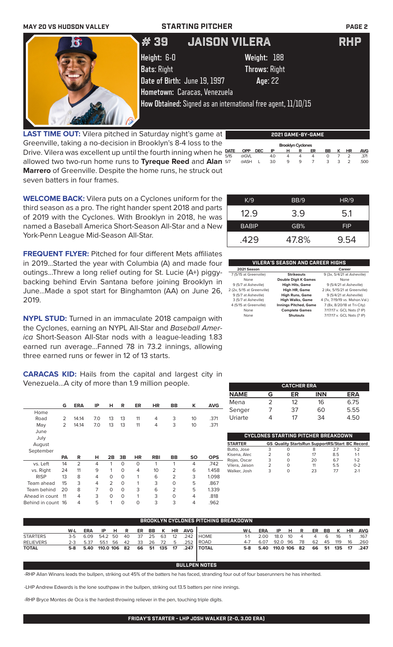| <b>MAY 20 VS HUDSON VALLEY</b> | <b>STARTING PITCHER</b>      | <b>PAGE 2</b>                                                 |            |
|--------------------------------|------------------------------|---------------------------------------------------------------|------------|
| $\mathbf{c}$                   | # 39                         | <b>JAISON VILERA</b>                                          | <b>RHP</b> |
|                                | Height: 6-0                  | Weight: 188                                                   |            |
|                                | <b>Bats: Right</b>           | <b>Throws: Right</b>                                          |            |
|                                | Date of Birth: June 19, 1997 | Age: 22                                                       |            |
|                                |                              | Hometown: Caracas, Venezuela                                  |            |
|                                |                              | How Obtained: Signed as an international free agent, 11/10/15 |            |

**LAST TIME OUT:** Vilera pitched in Saturday night's game at Greenville, taking a no-decision in Brooklyn's 8-4 loss to the Drive. Vilera was excellent up until the fourth inning when he  $\frac{part}{f}$ allowed two two-run home runs to **Tyreque Reed** and **Alan Marrero** of Greenville. Despite the home runs, he struck out seven batters in four frames. **DATE OPP DEC IP H R ER BB K HR AVG** 5/15 @GVL 4.0 4 4 4 0 7 2 .371 5/7 @ASH L 3.0 9 9 7 3 3 2 .500

**WELCOME BACK:** Vilera puts on a Cyclones uniform for the third season as a pro. The right hander spent 2018 and parts of 2019 with the Cyclones. With Brooklyn in 2018, he was

June...Made a spot start for Binghamton (AA) on June 26,

**NYPL STUD:** Turned in an immaculate 2018 campaign with the Cyclones, earning an NYPL All-Star and *Baseball Amer-*

2019.

| K/9          | BB/9  | HR/9       |
|--------------|-------|------------|
| 12.9         | 3.9   | 5.1        |
| <b>BABIP</b> | GB%   | <b>FIP</b> |
| .429         | 47.8% | 9.54       |

**2021 GAME-BY-GAME**

**Brooklyn Cyclones**<br>**OPP DEC IP H R I** 

9 (5/7 at Asheville) **High Hits, Game** 9 (5/4/21 at Asheville) 2 (2x, 5/15 at Greenville) **High HR, Game** 2 (4x, 5/15/21 at Greenville) 9 (5/7 at Asheville) **High Runs, Game** 9 (5/4/21 at Asheville) 3 (5/7 at Asheville) **High Walks, Game** 4 (7x, 7/19/19 vs. Mahon.Val.) 4 (5/15 at Greenville) **Innings Pitched, Game** 7 (8x, 8/20/18 at Tri-City) None **Complete Games** 7/17/17 v. GCL Nats (7 IP)

| <b>CATCHER ERA</b> |   |    |            |            |  |  |  |  |  |  |
|--------------------|---|----|------------|------------|--|--|--|--|--|--|
| <b>NAME</b>        | G | ER | <b>INN</b> | <b>ERA</b> |  |  |  |  |  |  |
| Mena               | っ | 12 | 16         | 6.75       |  |  |  |  |  |  |
| Senger             |   | 37 | 60         | 5.55       |  |  |  |  |  |  |
| Uriarte            |   | 17 | 34         | 4 50       |  |  |  |  |  |  |

None **Shutouts** 7/17/17 v. GCL Nats (7 IP)

| <b>STARTER</b> |   |   | <b>GS Quality StartsRun SupportRS/Start BC Record</b> |     |         |
|----------------|---|---|-------------------------------------------------------|-----|---------|
| Butto, Jose    | 3 | Ω | 8                                                     | 27  | $1 - 2$ |
| Kisena, Alec   | 2 | Ο | 17                                                    | 8.5 | $1 - 1$ |
| Rojas, Oscar   | 3 | 0 | 20                                                    | 67  | $1 - 2$ |
| Vilera, Jaison | 2 | O | 11                                                    | 5.5 | $0 - 2$ |
| Walker, Josh   | 3 |   | 23                                                    | 77  | $2-1$   |

| BROOKLYN CYCLONES PITCHING BREAKDOWN |         |            |              |      |    |    |     |     |           |            |                |         |            |              |     |      |    |     |     |           |            |
|--------------------------------------|---------|------------|--------------|------|----|----|-----|-----|-----------|------------|----------------|---------|------------|--------------|-----|------|----|-----|-----|-----------|------------|
|                                      | W-L     | <b>ERA</b> | IP           | н.   | R  | ER | BB. | K   | <b>HR</b> | <b>AVG</b> |                | W-L     | <b>ERA</b> | IP           | н   | R    | ER | BB  | K   | <b>HR</b> | <b>AVG</b> |
| <b>STARTERS</b>                      | 3-5     | 6.09       | 54.2 50      |      | 40 | 37 | 25  | 63  | 12        | 242        | <b>HOME</b>    |         | 2.00       | 18.0         | -10 |      | 4  | 6   | 16  |           | .167       |
| <b>RELIEVERS</b>                     | $2 - 3$ | 5.37       | 55.1         | - 56 | 42 | 33 | 26  | 72  | 5         | 252        | <b>ROAD</b>    | $4 - 7$ | 6.07       | 92.0         | -96 | - 78 | 62 | 45  | 119 | 16        | .260       |
| <b>TOTAL</b>                         | 5-8     | 5.40       | 110.0 106 82 |      |    | 66 | 51  | 135 | 17        | .247       | <b>I TOTAL</b> | 5-8     | 5.40       | 110.0 106 82 |     |      | 66 | -51 | 135 | 17        | .247       |
|                                      |         |            |              |      |    |    |     |     |           |            |                |         |            |              |     |      |    |     |     |           |            |

-RHP Allan Winans leads the bullpen, striking out 45% of the batters he has faced, stranding four out of four baserunners he has inherited.

-LHP Andrew Edwards is the lone southpaw in the bullpen, striking out 13.5 batters per nine innings.

-RHP Bryce Montes de Oca is the hardest-throwing reliever in the pen, touching triple digits.

| named a Baseball America Short-Season All-Star and a New          | <b>BABIP</b>           | GB%                                     | <b>FIP</b>                  |
|-------------------------------------------------------------------|------------------------|-----------------------------------------|-----------------------------|
| York-Penn League Mid-Season All-Star.                             | .429                   | 47.8%                                   | 9.54                        |
| <b>FREQUENT FLYER:</b> Pitched for four different Mets affiliates |                        |                                         |                             |
| in 2019Started the year with Columbia (A) and made four           |                        | <b>VILERA'S SEASON AND CAREER HIGHS</b> |                             |
|                                                                   | 2021 Season            |                                         | Career                      |
| outingsThrew a long relief outing for St. Lucie (A+) piggy-       | 7 (5/15 at Greenville) | <b>Strikeouts</b>                       | 9 (3x, 5/4/21 at Asheville) |
| backing behind Ervin Santana before joining Brooklyn in           | None                   | <b>Double Digit K Games</b>             | None                        |
|                                                                   | .                      |                                         |                             |

*ica* Short-Season All-Star nods with a league-leading 1.83 earned run average...Fanned 78 in 73.2 innings, allowing three earned runs or fewer in 12 of 13 starts. **CARACAS KID:** Hails from the capital and largest city in Venezuela...A city of more than 1.9 million people. **G ERA IP H R ER HR BB K AVG** Home Road 2 14.14 7.0 13 13 11 4 3 10 .371 May 2 14.14 7.0 13 13 11 4 3 10 .371 June

| July<br>August     |     |                |   |          |          |           |            |           |           |            |
|--------------------|-----|----------------|---|----------|----------|-----------|------------|-----------|-----------|------------|
| September          |     |                |   |          |          |           |            |           |           |            |
|                    | PA  | R              | н | 2B       | 3B       | <b>HR</b> | <b>RBI</b> | <b>BB</b> | <b>SO</b> | <b>OPS</b> |
| vs. Left           | 14  | $\overline{2}$ | 4 | 1        | 0        | 0         | 1          |           | 4         | .742       |
| vs. Right          | 24  | 11             | 9 | 1        | 0        | 4         | 10         | 2         | 6         | 1.458      |
| <b>RISP</b>        | 13  | 8              | 4 | 0        | 0        |           | 6          | 2         | 3         | 1.098      |
| Team ahead         | 15  | 3              | 4 | 2        | $\Omega$ | 1         | 3          | O         | 5         | .867       |
| Team behind        | 20  | 8              | 7 | $\Omega$ | 0        | 3         | 6          | 2         | 5         | 1.339      |
| Ahead in count     | -11 | 4              | 3 | $\Omega$ | 0        | 1         | 3          | O         | 4         | .818       |
| Behind in count 16 |     | 4              | 5 |          | 0        | 0         | 3          | 3         | 4         | .962       |

## **BULLPEN NOTES**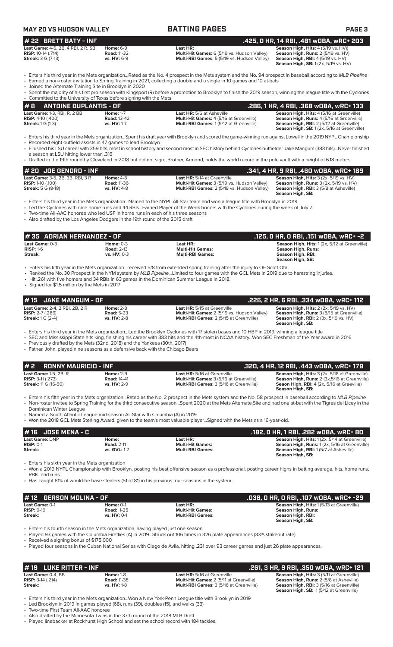| MAY 20 VS HUDSON VALLEY |
|-------------------------|
|-------------------------|

## **MAY 20 VS HUDSON VALLEY BATTING PAGES PAGE 3**

| $#$ 22 BRETT BATY - INF                   |                    |                                                    | .425, 0 HR, 14 RBI, .481 wOBA, wRC+ 203             |
|-------------------------------------------|--------------------|----------------------------------------------------|-----------------------------------------------------|
| <b>Last Game: 4-5, 2B, 4 RBI, 2 R, SB</b> | <b>Home:</b> 6-9   | Last HR:                                           | <b>Season High, Hits:</b> $4(5/19 \text{ vs. HV}))$ |
| <b>RISP:</b> 10-14 $(.714)$               | <b>Road: 11-32</b> | Multi-Hit Games: 6 (5/19 vs. Hudson Valley)        | <b>Season High, Runs: 2 (5/19 vs. HV)</b>           |
| <b>Streak:</b> 3 G (7-13)                 | $vs. HV: 6-9$      | <b>Multi-RBI Games:</b> 5 (5/19 vs. Hudson Valley) | <b>Season High, RBI:</b> 4 (5/19 vs. HV)            |
|                                           |                    |                                                    | $C = - - - 11$ $CD = 4/2$ $T/4Q$ $T NQ$             |

**n High, Hits:** 4 (5/19 vs. HV)) **n High, Runs:** 2 (5/19 vs. HV) **Straak: High, RBI:** 4 (5/19 vs. HV) **Season High, SB:** 1 (2x, 5/19 vs. HV)

• Enters his third year in the Mets organization...Rated as the No. 4 prospect in the Mets system and the No. 94 prospect in baseball according to *MLB Pipeline* • Earned a non-roster invitation to Spring Training in 2021, collecting a double and a single in 10 games and 10 at-bats

• Joined the Alternate Training Site in Brooklyn in 2020

| • Spent the majority of his first pro season with Kingsport (R) before a promotion to Brooklyn to finish the 2019 season, winning the league title with the Cyclones |                    |                                                |                                                  |  |  |  |  |  |  |
|----------------------------------------------------------------------------------------------------------------------------------------------------------------------|--------------------|------------------------------------------------|--------------------------------------------------|--|--|--|--|--|--|
| • Committed to the University of Texas before signing with the Mets                                                                                                  |                    |                                                |                                                  |  |  |  |  |  |  |
| $#B$ antoine duplantis - OF                                                                                                                                          |                    |                                                | .286. 1 HR. 4 RBI. .368 wOBA. wRC+ 133           |  |  |  |  |  |  |
| <b>Last Game: 1-3, RBI, R, 2 BB</b>                                                                                                                                  | <b>Home: 1-7</b>   | <b>Last HR:</b> 5/6 at Asheville               | <b>Season High, Hits: 4 (5/16 at Greenville)</b> |  |  |  |  |  |  |
| <b>RISP:</b> 4-10 $(.400)$                                                                                                                                           | <b>Road: 13-42</b> | <b>Multi-Hit Games: 4 (5/16 at Greenville)</b> | Season High, Runs: 4 (5/16 at Greenville)        |  |  |  |  |  |  |
| <b>Streak:</b> $1 \text{ } G (1-3)$                                                                                                                                  | vs. HV: 1-7        | <b>Multi-RBI Games: 1(5/12 at Greenville)</b>  | <b>Season High, RBI:</b> 2 (5/12 at Greenville)  |  |  |  |  |  |  |

 **Season High, SB:** 1 (2x, 5/16 at Greenville) • Enters his third year in the Mets organization...Spent his draft year with Brooklyn and scored the game-winning run against Lowell in the 2019 NYPL Championship Recorded eight outfield assists in 47 games to lead Brooklyn

• Finished his LSU career with 359 hits, most in school history and second-most in SEC history behind Cyclones outfielder Jake Mangum (383 hits)...Never finished

a season at LSU hitting lower than .316 • Drafted in the 19th round by Cleveland in 2018 but did not sign...Brother, Armond, holds the world record in the pole vault with a height of 6.18 meters.

| # 20 JOE GENORD - INF                   |                    |                                                    | . .341, 4 HR, 9 RBI, .460 w0BA, wRC+ 189 '               |
|-----------------------------------------|--------------------|----------------------------------------------------|----------------------------------------------------------|
| <b>Last Game: 3-5, 2B, 3B, RBI, 3 R</b> | <b>Home: 4-8</b>   | <b>Last HR:</b> 5/14 at Greenville                 | <b>Season High, Hits: 3 (2x, 5/19 vs. HV)</b>            |
| <b>RISP:</b> 1-10 $(.100)$              | <b>Road: 11-36</b> | Multi-Hit Games: 3 (5/19 vs. Hudson Valley)        | <b>Season High, Runs:</b> $3$ ( $2x$ , $5/19$ vs. $HV$ ) |
| <b>Streak:</b> 5 G (8-18)               | <b>vs. HV: 4-8</b> | <b>Multi-RBI Games: 2 (5/18 vs. Hudson Valley)</b> | <b>Season High, RBI:</b> 3 (5/8 at Asheville)            |
|                                         |                    |                                                    | Season High, SB:                                         |

• Enters his third year in the Mets organization...Named to the NYPL All-Star team and won a league title with Brooklyn in 2019

• Led the Cyclones with nine home runs and 44 RBIs...Earned Player of the Week honors with the Cyclones during the week of July 7.

• Two-time All-AAC honoree who led USF in home runs in each of his three seasons

Also drafted by the Los Angeles Dodgers in the 19th round of the 2015 draft.

| l # 35   ADRIAN HERNANDEZ - OF<br>.125, O HR, O RBI, .151 wOBA, wRC+ -2 |                                                   |                                                                |                                                                                                                     |  |
|-------------------------------------------------------------------------|---------------------------------------------------|----------------------------------------------------------------|---------------------------------------------------------------------------------------------------------------------|--|
| Last Game: 0-3<br>$RISP: 1-6$<br>Streak:                                | Home: $0-3$<br><b>Road: 2-13</b><br>$vs. HV: 0-3$ | Last HR:<br><b>Multi-Hit Games:</b><br><b>Multi-RBI Games:</b> | Season High, Hits: 1 (2x, 5/12 at Greenville)<br><b>Season High, Runs:</b><br>Season High, RBI:<br>Season High, SB: |  |

• Enters his fifth year in the Mets organization...received 5/8 from extended spring training after the injury to OF Scott Ota.<br>• Ranked the No. 30 Prospect in the NYM system by *MLB Pipeline...*Limited to four games with

• Ranked the No. 30 Prospect in the NYM system by *MLB Pipeline...*Limited to four games with the GCL Mets in 2019 due to hamstring injuries.

• Hit .261 with five homers and 34 RBIs in 63 games in the Dominican Summer League in 2018. • Signed for \$1.5 million by the Mets in 2017

**Last Game:** 2-4, 2 RBI, 2B, 2 R **Home:** 2-8 **Last HR:** 5/15 at Greenville **Season High, Hits:** 2 (2x, 5/19 vs. HV) **RISP:** 2-7 (.286) **Road:** 5-23 **Multi-Hit Games:** 2 (5/19 vs. Hudson Valley) **Season High, Runs:** 3 (5/15 at Greenville) **Stream: Streak:** 1 Game: 2-4, 2 RBI, 2B, 2 R **Mome:** 2-8 **Road:** 5-23 **Multi-Hit Games:** 2 (5/19 vs. Hudson Valley) **Season High, Hits:** 2 (2x, 5/19 vs. HV)<br> **RISP:** 2-7 (.286) **Road:** 5-23 **Multi-Hit Games:** 2 (5/19 vs **Season High, SB:**  • Enters his third year in the Mets organization...Led the Brooklyn Cyclones with 17 stolen bases and 10 HBP in 2019, winning a league title • SEC and Mississippi State hits king, finishing his career with 383 hits and the 4th-most in NCAA history...Won SEC Freshman of the Year award in 2016 Previously drafted by the Mets (32nd, 2018) and the Yankees (30th, 2017) • Father, John, played nine seasons as a defensive back with the Chicago Bears **# 2 RONNY MAURICIO - INF .320, 4 HR, 12 RBI, .443 wOBA, wRC+ 179 Last Game:** 1-5, 2B, R **Home:** 2-9 **Last HR:** 5/16 at Greenville **Season High, Hits:** 3 (2x, 5/16 at Greenville) **RISP:** 3-11 (.273) **Road:** 14-41 **Multi-Hit Games:** 3 (5/16 at Greenville) **Season High, Runs:** 2 (3x,5/16 at Greenville) **Streak:** 11 G (16-50) **vs. HV:** 2-9 **Multi-RBI Games:** 3 (5/16 at Greenville) **Seaon High, RBI:** 4 (2x, 5/16 at Greeville) **Season High, SB:** • Enters his fifth year in the Mets organization...Rated as the No. 2 prospect in the Mets system and the No. 58 prospect in baseball according to *MLB Pipeline* • Non-roster invitee to Spring Training for the third consecutive season...Spent 2020 at the Mets Alternate Site and had one at-bat with the Tigres del Licey in the Dominican Winter League • Named a South Atlantic League mid-season All-Star with Columbia (A) in 2019 • Won the 2018 GCL Mets Sterling Award, given to the team's most valuable player...Signed with the Mets as a 16-year-old. **# 15 JAKE MANGUM - OF .226, 2 HR, 6 RBI, .334 wOBA, wRC+ 112 # 16 JOSE MENA - C .182, 0 HR, 1 RBI, .282 wOBA, wRC+ 80 Last Game:** DNP **Home: Last HR: Season High, Hits:** 1 (2x, 5/14 at Greenville) **RISP:** 0-1 **Road: 2-11 <b>Road: 2-11 Multi-Hit Games: Season High, Runs:** 1 (2x, 5/16 at Greenville) **Streak: vs. GVL:** 1-7 **Multi-RBI Games: Season High, RBI:** 1 (5/7 at Asheville) **Season High, SB:**  • Enters his sixth year in the Mets organization • Won a 2019 NYPL Championship with Brooklyn, posting his best offensive season as a professional, posting career highs in batting average, hits, home runs, RBIs, and runs • Has caught 81% of would-be base stealers (51 of 81) in his previous four seasons in the system. **# 12 GERSON MOLINA - OF .038, 0 HR, 0 RBI, .107 wOBA, wRC+ -29 Last Game: 0-1 Home: 0-1 Last HR: Cames: 0-1 Last HR: Season High, Hits: 1 (5/13 at Greenville)**<br> **RISP:** 0-10 **Season High Runs: Road: 1-25 Multi-Hit Games: Season High Runs: Season High Runs: RISP:** 0-10 **Road:** 1-25 **Multi-Hit Games: Season High, Runs:**   $S$ eason High, RBI: **Season High, SB:**  • Enters his fourth season in the Mets organization, having played just one season • Played 93 games with the Columbia Fireflies (A) in 2019...Struck out 106 times in 326 plate appearances (33% strikeout rate) • Received a signing bonus of \$175,000 • Played four seasons in the Cuban National Series with Ciego de Avila, hitting .231 over 93 career games and just 26 plate appearances. **# 19 LUKE RITTER - INF .261, 3 HR, 9 RBI, .350 wOBA, wRC+ 121 Last Game:** 0-4, BB **Home:** 1-8 **Last HR:** 5/16 at Greenville **Season High, Hits:** 3 (5/11 at Greenville)

**RISP:** 3-14 (.214) **Road:** 11-38 **Multi-Hit Games:** 2 (5/11 at Greenville) **Season High, Runs:** 2 (5/8 at Asheville)<br> **Risp:** 3-14 (.214) **Road:** 11-38 **Multi-RBI Games:** 3 (5/16 at Greenville) **Season High, RBI:** 3 (5/16

**Multi-RBI Games:** 3 (5/16 at Greenville)

**Season High, SB:** 1 (5/12 at Greenville)

• Enters his third year in the Mets organization...Won a New York-Penn League title with Brooklyn in 2019

• Led Brooklyn in 2019 in games played (68), runs (39), doubles (15), and walks (33)

• Two-time First Team All-AAC honoree

• Also drafted by the Minnesota Twins in the 37th round of the 2018 MLB Draft

• Played linebacker at Rockhurst High School and set the school record with 184 tackles.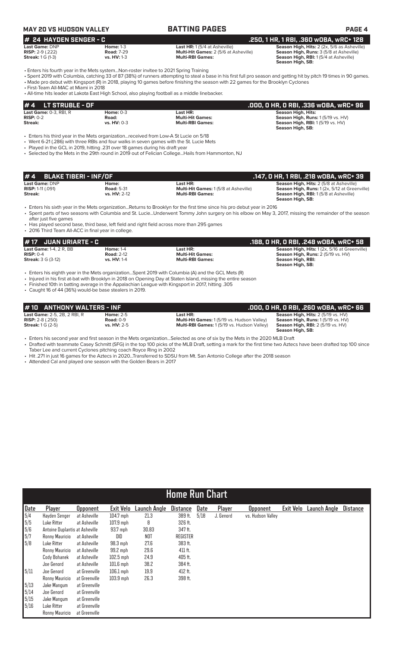# **MAY 20 VS HUDSON VALLEY BATTING PAGES PAGE 4**

| $#$ 24 HAYDEN SENGER - C            |                    |                                              | .250. 1 HR. 1 RBI. .360 WOBA. WRC+ 128         |  |  |
|-------------------------------------|--------------------|----------------------------------------------|------------------------------------------------|--|--|
| Last Game: DNP                      | Home: $1-3$        | <b>Last HR:</b> 1(5/4 at Asheville)          | Season High, Hits: 2 (2x, 5/6 as Asheville)    |  |  |
| <b>RISP:</b> $2-9$ (.222)           | <b>Road: 7-29</b>  | <b>Multi-Hit Games: 2 (5/6 at Asheville)</b> | <b>Season High, Runs: 3 (5/8 at Asheville)</b> |  |  |
| <b>Streak:</b> $1 \text{ G } (1-3)$ | <b>vs. HV: 1-3</b> | <b>Multi-RBI Games:</b>                      | <b>Season High, RBI:</b> 1(5/4 at Asheville)   |  |  |

**# 24 HAYDEN SENGER - C .250, 1 HR, 1 RBI, .360 wOBA, wRC+ 128 Season High, SB:** 

**Season High, SB:** 

• Enters his fourth year in the Mets system...Non-roster invitee to 2021 Spring Training

• Spent 2019 with Columbia, catching 33 of 87 (38%) of runners attempting to steal a base in his first full pro season and getting hit by pitch 19 times in 90 games. • Made pro debut with Kingsport (R) in 2018, playing 10 games before finishing the season with 22 games for the Brooklyn Cyclones

• First-Team All-MAC at Miami in 2018

• All-time hits leader at Lakota East High School, also playing football as a middle linebacker.

| #4<br>LT STRUBLE - OF                      |               |                         | .000, 0 HR, 0 RBI, .336 w0BA, wRC+ 96   |
|--------------------------------------------|---------------|-------------------------|-----------------------------------------|
| <b>Last Game: <math>0-3</math>. RBI. R</b> | Home: $0-3$   | Last HR:                | Season High, Hits:                      |
| $RISP: 0-2$                                | Road:         | <b>Multi-Hit Games:</b> | Season High, Runs: 1 (5/19 vs. HV)      |
| Streak:                                    | vs. $HV: 0-3$ | <b>Multi-RBI Games:</b> | <b>Season High, RBI:</b> 1(5/19 vs. HV) |
|                                            |               |                         | Season High, SB:                        |

• Enters his third year in the Mets organization...received from Low-A St Lucie on 5/18

• Went 6-21 (.286) with three RBIs and four walks in seven games with the St. Lucie Mets

• Played in the GCL in 2019, hitting .231 over 18 games during his draft year

• Selected by the Mets in the 29th round in 2019 out of Felician College...Hails from Hammonton, NJ

| $# 4$ BLAKE TIBERI - INF/OF |                   |                                             | , .147, 0 HR, 1 RBI, .218 w0BA, wRC+ 39.       |
|-----------------------------|-------------------|---------------------------------------------|------------------------------------------------|
| <b>Last Game: DNP</b>       | Home:             | Last HR:                                    | <b>Season High, Hits: 2 (5/8 at Asheville)</b> |
| <b>RISP:</b> 1-11 $(.091)$  | <b>Road: 5-31</b> | <b>Multi-Hit Games: 1(5/8 at Asheville)</b> | Season High, Runs: 1(2x, 5/12 at Greenville)   |
| Streak:                     | vs. HV: 2-12      | <b>Multi-RBI Games:</b>                     | <b>Season High, RBI:</b> 1(5/8 at Asheville)   |
|                             |                   |                                             | Season High, SB:                               |

• Enters his sixth year in the Mets organization...Returns to Brooklyn for the first time since his pro debut year in 2016

• Spent parts of two seasons with Columbia and St. Lucie...Underwent Tommy John surgery on his elbow on May 3, 2017, missing the remainder of the season after just five games

• Has played second base, third base, left field and right field across more than 295 games • 2016 Third Team All-ACC in final year in college.

### **# 17 JUAN URIARTE - C .188, 0 HR, 0 RBI, .248 wOBA, wRC+ 58 Last Game:** 1-4, 2 R, BB **Home:** 1-4 **Last HR: Season High, Hits:** 1 (2x, 5/16 at Greenville) **RISP:** 0-4 **Road:** 2-12 **Multi-Hit Games: Season High, Runs:** 2 (5/19 vs. HV) **Streak:** 3 G (3-12) **vs. HV:** 1-4 **Multi-RBI Games: Season High, RBI:**

• Enters his eighth year in the Mets organization...Spent 2019 with Columbia (A) and the GCL Mets (R)

• Injured in his first at-bat with Brooklyn in 2018 on Opening Day at Staten Island, missing the entire season

• Finished 10th in batting average in the Appalachian League with Kingsport in 2017, hitting .305

• Caught 16 of 44 (36%) would-be base stealers in 2019.

| #10 ANTHONY WALTERS - INF           |                    |                                                    | .000, 0 HR, 0 RBI, .260 w0BA, wRC+ 66 1   |
|-------------------------------------|--------------------|----------------------------------------------------|-------------------------------------------|
| <b>Last Game:</b> 2-5, 2B, 2 RBI, R | <b>Home: 2-5</b>   | Last HR:                                           | <b>Season High, Hits: 2 (5/19 vs. HV)</b> |
| <b>RISP:</b> $2-8$ (.250)           | Road: $0-9$        | <b>Multi-Hit Games: 1(5/19 vs. Hudson Valley)</b>  | <b>Season High, Runs: 1(5/19 vs. HV)</b>  |
| <b>Streak:</b> $1 G (2-5)$          | <b>vs. HV: 2-5</b> | <b>Multi-RBI Games:</b> 1 (5/19 vs. Hudson Valley) | <b>Season High, RBI:</b> 2 (5/19 vs. HV)  |
|                                     |                    |                                                    | Season High, SB:                          |

• Enters his second year and first season in the Mets organization...Selected as one of six by the Mets in the 2020 MLB Draft

• Drafted with teammate Casey Schmitt (SFG) in the top 100 picks of the MLB Draft, setting a mark for the first time two Aztecs have been drafted top 100 since Taber Lee and current Cyclones pitching coach Royce Ring in 2002

• Hit .271 in just 16 games for the Aztecs in 2020...Transferred to SDSU from Mt. San Antonio College after the 2018 season

• Attended Cal and played one season with the Golden Bears in 2017

|                                           | <b>Home Run Chart</b>          |                 |                  |                 |                 |      |           |                   |                  |              |                 |
|-------------------------------------------|--------------------------------|-----------------|------------------|-----------------|-----------------|------|-----------|-------------------|------------------|--------------|-----------------|
| Date                                      | Player                         | <b>Opponent</b> | <b>Exit Velo</b> | Launch Angle    | <b>Distance</b> | Date | Player    | <b>Opponent</b>   | <b>Exit Velo</b> | Launch Angle | <b>Distance</b> |
| 5/4                                       | Hayden Senger                  | at Asheville    | $104.7$ mph      | 21.3            | 389 ft.         | 5/18 | J. Genord | vs. Hudson Valley |                  |              |                 |
| 5/5                                       | Luke Ritter                    | at Asheville    | $107.9$ mph      | 8               | 326 ft.         |      |           |                   |                  |              |                 |
| $\begin{array}{c} 5/6 \\ 5/7 \end{array}$ | Antoine Duplantis at Asheville |                 | 93.7 mph         | 30.83           | 347 ft.         |      |           |                   |                  |              |                 |
|                                           | Ronny Mauricio                 | at Asheville    | DID              | NO <sub>T</sub> | <b>REGISTER</b> |      |           |                   |                  |              |                 |
| 5/8                                       | Luke Ritter                    | at Asheville    | $98.3$ mph       | 27.6            | 383 ft.         |      |           |                   |                  |              |                 |
|                                           | Ronny Mauricio                 | at Asheville    | 99.2 mph         | 29.6            | 411 ft.         |      |           |                   |                  |              |                 |
|                                           | Cody Bohanek                   | at Asheville    | $102.5$ mph      | 24.9            | 405 ft.         |      |           |                   |                  |              |                 |
|                                           | Joe Genord                     | at Asheville    | $101.6$ mph      | 38.2            | 384 ft.         |      |           |                   |                  |              |                 |
| 5/11                                      | Joe Genord                     | at Greenville   | $106.1$ mph      | 19.9            | 412 ft.         |      |           |                   |                  |              |                 |
|                                           | Ronny Mauricio                 | at Greenville   | $103.9$ mph      | 26.3            | 398 ft.         |      |           |                   |                  |              |                 |
| 5/13                                      | Jake Mangum                    | at Greenville   |                  |                 |                 |      |           |                   |                  |              |                 |
| 5/14                                      | Joe Genord                     | at Greenville   |                  |                 |                 |      |           |                   |                  |              |                 |
| 5/15                                      | Jake Mangum                    | at Greenville   |                  |                 |                 |      |           |                   |                  |              |                 |
| 5/16                                      | Luke Ritter                    | at Greenville   |                  |                 |                 |      |           |                   |                  |              |                 |
|                                           | Ronny Mauricio                 | at Greenville   |                  |                 |                 |      |           |                   |                  |              |                 |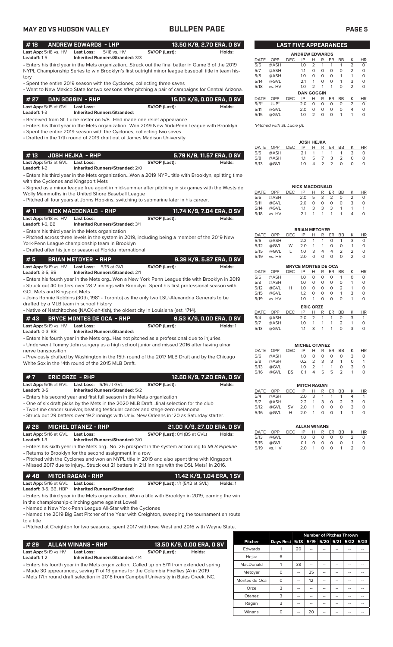## **MAY 20 VS HUDSON VALLEY BULLPEN PAGE PAGE 5**

| ٦<br>L |  |  |
|--------|--|--|
|--------|--|--|

### • Enters his third year in the Mets organization...Struck out the final batter in Game 3 of the 2019 **# 18 ANDREW EDWARDS - LHP 13.50 K/9, 2.70 ERA, 0 SV Last App:**  $5/18$  vs. HV **Last Loss:** 5/18 vs. HV **SV/OP (Last): Leadoff:** 1-5 **Inherited Runners/Stranded:** 3/3 **Inherited Runners/Stranded:** 3/3

NYPL Championship Series to win Brooklyn's first outright minor league baseball title in team history

• Spent the entire 2019 season with the Cyclones, collecting three saves

| 1 # 27      DAN GOGGIN  - RHP |                                    |               | 15.00 K/9. 0.00 ERA. 0 SV |
|-------------------------------|------------------------------------|---------------|---------------------------|
| <b>Last App:</b> 5/15 at GVL  | Last Loss:                         | SV/OP (Last): | Holds:                    |
| <b>Leadoff:</b> 1-3           | <b>Inherited Runners/Stranded:</b> |               |                           |

• Received from St. Lucie roster on 5/8...Had made one relief appearance.

• Enters his third year in the Mets organization...Won 2019 New York-Penn League with Brooklyn. • Spent the entire 2019 season with the Cyclones, collecting two saves

• Drafted in the 17th round of 2019 draft out of James Madison University

| # 13      JOSH HEJKA  - RHP . |                                        |               | 5.79 K/9, 11.57 ERA, O SV |
|-------------------------------|----------------------------------------|---------------|---------------------------|
| <b>Last App:</b> 5/13 at GVL  | Last Loss:                             | SV/OP (Last): | Holds:                    |
| Leadoff: 1-2                  | <b>Inherited Runners/Stranded: 2/0</b> |               |                           |

• Enters his third year in the Mets organization...Won a 2019 NYPL title with Brooklyn, splitting time with the Cyclones and Kingsport Mets

• Signed as a minor league free agent in mid-summer after pitching in six games with the Westside Wolly Mammoths in the United Shore Baseball League

• Pitched all four years at Johns Hopkins, switching to submarine later in his career.

| #11                                                           | NICK MACDONALD - RHP                                        |               | 11.74 K/9. 7.04 ERA. 0 SV |
|---------------------------------------------------------------|-------------------------------------------------------------|---------------|---------------------------|
| <b>Last App:</b> $5/18$ vs. $HV$<br><b>Leadoff:</b> 1-6. $BB$ | <b>Last Loss:</b><br><b>Inherited Runners/Stranded: 3/1</b> | SV/OP (Last): | Holds:                    |
|                                                               | • Enters his third year in the Mets organization            |               |                           |

• Pitched across three levels in the system in 2019, including being a member of the 2019 New York-Penn League championship team in Brooklyn

• Drafted after his junior season at Florida International

| l#5                              | <b>BRIAN METOYER - RHP</b>             |               | 3.39 K/9, 5.87 ERA, 0 SV |
|----------------------------------|----------------------------------------|---------------|--------------------------|
| <b>Last App:</b> $5/19$ vs. $HV$ | <b>Last Loss:</b> 5/15 at GVL          | SV/OP (Last): | Holds:                   |
| Leadoff: $3-5.$ BB               | <b>Inherited Runners/Stranded: 2/1</b> |               |                          |

• Enters his fourth year in the Mets org...Won a New York Penn League title with Brooklyn in 2019 • Struck out 40 batters over 28.2 innings with Brooklyn...Spent his first professional season with GCL Mets and Kingsport Mets

• Joins Ronnie Robbins (30th, 1981 - Toronto) as the only two LSU-Alexandria Generals to be drafted by a MLB team in school history

• Native of Natchitoches (NACK-ah-tish), the oldest city in Louisiana (est. 1714).

|                              | #43 BRYCE MONTES DE OCA - RHP      |               | 9.53 K/9, 0.00 ERA, 0 SV |
|------------------------------|------------------------------------|---------------|--------------------------|
| <b>Last App:</b> 5/19 vs. HV | Last Loss:                         | SV/OP (Last): | Holds: 1                 |
| <b>Leadoff:</b> 0-3. BB      | <b>Inherited Runners/Stranded:</b> |               |                          |

• Enters his fourth year in the Mets org...Has not pitched as a professional due to injuries

• Underwent Tommy John surgery as a high school junior and missed 2016 after having ulnar nerve transposition

• Previously drafted by Washington in the 15th round of the 2017 MLB Draft and by the Chicago White Sox in the 14th round of the 2015 MLB Draft.

### **# 7 ERIC ORZE - RHP 12.60 K/9, 7.20 ERA, 0 SV**

- **Last App:** 5/16 at GVL **Last Loss:** 5/16 at GVL **SV/OP (Last): Holds: Leadoff:** 3-5 **Inherited Runners/Stranded:** 5/2 **Leadoff:** 3-5 **Inherited Runners/Stranded:** 5/2
- Enters his second year and first full season in the Mets organization

• One of six draft picks by the Mets in the 2020 MLB Draft...final selection for the club

• Two-time cancer survivor, beating testicular cancer and stage-zero melanoma

• Struck out 29 batters over 19.2 innings with Univ. New Orleans in '20 as Saturday starter.

| # 26       MICHEL OTANEZ - RHP |                                        | 21.00 K/9, 27.00 ERA, 0 SV           |        |
|--------------------------------|----------------------------------------|--------------------------------------|--------|
| <b>Last App:</b> 5/16 at GVL   | Last Loss:                             | <b>SV/OP (Last):</b> 0/1 (BS at GVL) | Holds: |
| <b>Leadoff:</b> 1-3            | <b>Inherited Runners/Stranded: 3/0</b> |                                      |        |

• Enters his sixth year in the Mets org...No. 26 prospect in the system according to *MLB Pipeline* • Returns to Brooklyn for the second assignment in a row

• Pitched with the Cyclones and won an NYPL title in 2019 and also spent time with Kingsport

• Missed 2017 due to injury...Struck out 21 batters in 21.1 innings with the DSL Mets1 in 2016.

### **# 48 MITCH RAGAN - RHP 11.42 K/9, 1.04 ERA, 1 SV Last App:** 5/16 at GVL **Last Loss: SV/OP (Last):** 1/1 (5/12 at GVL) **Holds:** 1 **Leadoff:** 3-5, BB, HBP **Inherited Runners/Stranded:**

• Enters his third year in the Mets organization...Won a title with Brooklyn in 2019, earning the win in the championship-clinching game against Lowell

• Named a New York-Penn League All-Star with the Cyclones

• Named the 2019 Big East Pitcher of the Year with Creighton, sweeping the tournament en route to a title

• Pitched at Creighton for two seasons...spent 2017 with Iowa West and 2016 with Wayne State.

| # 29                            | <b>ALLAN WINANS - RHP</b>                                                               |               | 13.50 K/9, 0.00 ERA, 0 SV , |
|---------------------------------|-----------------------------------------------------------------------------------------|---------------|-----------------------------|
| <b>Last App:</b> $5/19$ vs $HV$ | <b>Last Loss:</b>                                                                       | SV/OP (Last): | Holds:                      |
| Leadoff: 1-2                    | <b>Inherited Runners/Stranded: 4/4</b>                                                  |               |                             |
|                                 | • Enters his fourth year in the Mets organizationCalled up on 5/11 from extended spring |               |                             |
|                                 |                                                                                         |               |                             |

• Made 30 appearances, saving 11 of 13 games for the Columbia Fireflies (A) in 2019

• Mets 17th round draft selection in 2018 from Campbell University in Buies Creek, NC.

|                |                                         |    |    | <b>Number of Pitches Thrown</b> |  |  |
|----------------|-----------------------------------------|----|----|---------------------------------|--|--|
| <b>Pitcher</b> | Days Rest 5/18 5/19 5/20 5/21 5/22 5/23 |    |    |                                 |  |  |
| Edwards        |                                         | 20 |    |                                 |  |  |
| Hejka          | 6                                       |    |    |                                 |  |  |
| MacDonald      |                                         | 38 |    |                                 |  |  |
| Metoyer        | 0                                       |    | 25 |                                 |  |  |
| Montes de Oca  | O                                       | -- | 12 |                                 |  |  |
| Orze           | 3                                       |    |    |                                 |  |  |
| Otanez         | 3                                       |    |    |                                 |  |  |
| Ragan          | 3                                       |    |    |                                 |  |  |
| Winans         |                                         |    | 20 |                                 |  |  |

|        | <b>LAST FIVE APPEARANCES</b> |            |                       |   |          |          |           |                |           |
|--------|------------------------------|------------|-----------------------|---|----------|----------|-----------|----------------|-----------|
|        |                              |            | <b>ANDREW EDWARDS</b> |   |          |          |           |                |           |
| DATE   | OPP                          | <b>DEC</b> | IP                    | н | R        | ER       | ВB        | Κ              | <b>HR</b> |
| 5/5    | @ASH                         |            | 1.0                   | 2 | 1        | 1        | 1         | $\overline{2}$ | 0         |
| 5/7    | @ASH                         |            | 1.1                   | 0 | 0        | O        | Ο         | $\overline{2}$ | 0         |
| 5/8    | @ASH                         |            | 1.0                   | 0 | 0        | O        | 1         | 1              | 0         |
| 5/14   | @GVL                         |            | 2.1                   | 1 | $\Omega$ | $\Omega$ | 1         | 3              | 0         |
| 5/18   | vs. HV                       |            | 1.0                   | っ | 1        | 1        | ი         | $\overline{2}$ | 0         |
|        |                              |            | <b>DAN GOGGIN</b>     |   |          |          |           |                |           |
| DATE   | OPP                          | <b>DEC</b> | IP                    | н | R        | ER       | <b>BB</b> | κ              | <b>HR</b> |
| $5/5*$ | JUP*                         |            | 2.0                   | 0 | $\Omega$ | O        | 0         | $\overline{2}$ | 0         |
| 5/11   | @GVL                         |            | 2.0                   | O | $\Omega$ | $\Omega$ | ი         | 4              | 0         |
| 5/15   | @GVL                         |            | 1.0                   | 2 | $\Omega$ | ი        |           |                | 0         |

*\*Pitched with St. Lucie (A)*

| <b>JOSH HEJKA</b> |      |      |          |                |                |                         |               |   |     |  |
|-------------------|------|------|----------|----------------|----------------|-------------------------|---------------|---|-----|--|
| DATE OPP          |      | DEC. | IP       | H.             | R              | ER.                     | - BB          |   | HR. |  |
| 5/5               | @ASH |      | 21       | $\overline{1}$ | $\overline{1}$ | $\overline{1}$          | 1             | 3 | Ω   |  |
| 5/8               | @ASH |      | 11       | 5.             | $\overline{7}$ | $\overline{\mathbf{3}}$ | $\mathcal{L}$ | O |     |  |
| 5/13              | @GVL |      | 1 $\cap$ |                | $\mathcal{P}$  | $\overline{2}$          | O             | O |     |  |

|      |       |     | <b>NICK MACDONALD</b> |    |                         |               |           |   |    |
|------|-------|-----|-----------------------|----|-------------------------|---------------|-----------|---|----|
| DATE | OPP   | DEC | IP                    | н  | R                       | ER            | <b>BB</b> |   | HR |
| 5/6  | @ASH  |     | 2 O                   | 5. | $\overline{\mathbf{3}}$ | $\mathcal{P}$ | O         |   |    |
| 5/11 | @GVL  |     | 2 O                   | O  | Ω                       | Ω             | O         | 3 |    |
| 5/14 | @GVL  |     | 11                    | 3  | 3                       | 3             |           |   |    |
| 5/18 | vs HV |     | 21                    |    |                         |               |           |   |    |

|      |        |     | <b>BRIAN METOYER</b> |                |                |                |               |               |          |
|------|--------|-----|----------------------|----------------|----------------|----------------|---------------|---------------|----------|
| DATE | OPP    | DEC | IP                   | н              | R              | ER.            | BB            |               | HR.      |
| 5/6  | @ASH   |     | フフ                   | $\overline{1}$ | $\overline{1}$ | $\Omega$       |               | 3             |          |
| 5/12 | @GVL   | W   | 2.0                  |                | $\mathbf{1}$   | $\Omega$       | O             |               | $\Omega$ |
| 5/15 | @GVL   |     | 1.0                  | 3              | 4              | $\overline{a}$ | $\mathcal{L}$ | $\mathcal{L}$ | Ω        |
| 5/19 | vs. HV |     | 2 O                  |                | O              | O              | Ω             | $\mathcal{L}$ |          |

| <b>BRYCE MONTES DE OCA</b> |        |            |     |                  |          |    |                |   |           |
|----------------------------|--------|------------|-----|------------------|----------|----|----------------|---|-----------|
| DATE                       | OPP    | <b>DEC</b> | IP  | н                | R        | ER | BB             | Κ | <b>HR</b> |
| 5/5                        | @ASH   |            | 1.0 | 0                | 0        | O  | 1              | 0 | 0         |
| 5/8                        | @ASH   |            | 1.0 | 0                | Ο        | O  | Ο              | 1 | 0         |
| 5/12                       | @GVL   | н          | 1.0 | 0                | 0        | O  | $\overline{2}$ | 1 | 0         |
| 5/15                       | @GVL   |            | 1.2 | 0                | $\Omega$ | O  | 1              | 3 | 0         |
| 5/19                       | vs. HV |            | 1.0 | 1                | $\Omega$ | O  | ი              | 1 | O         |
|                            |        |            |     | <b>ERIC ORZE</b> |          |    |                |   |           |
| DATE                       | OPP    | DEC        | IP  | н                | R        | ER | <b>BB</b>      | Κ | <b>HR</b> |
| 5/4                        | @ASH   |            | 2.0 | $\overline{2}$   |          | 1  | 0              | 3 | 1         |
| 5/7                        | @ASH   |            | 1.0 | 1                | 1        | 1  | $\overline{2}$ | 1 | 0         |
| 5/13                       | @GVL   |            | 1.1 | 3                |          |    |                | 3 | 0         |
|                            |        |            |     |                  |          |    |                |   |           |

|      |      |            | <b>MICHEL OTANEZ</b> |               |   |     |    |   |     |
|------|------|------------|----------------------|---------------|---|-----|----|---|-----|
| DATE | OPP  | <b>DEC</b> | IP                   | н             | R | ER. | BB | K | HR. |
| 5/6  | @ASH |            | 1 $\Omega$           | O             | 0 | Ο   | O  | 3 | Ο   |
| 5/8  | @ASH |            | 0.2                  | $\mathcal{L}$ | 3 | 3   | 1  | O |     |
| 5/13 | @GVL |            | 1 $\Omega$           | $\mathcal{L}$ | 1 | 1   | O  | 3 | Ω   |
| 5/16 | @GVL | BS         | 0.1                  | 4             | 5 | ь   | 2  |   |     |

|      |            |           | <b>MITCH RAGAN</b> |    |              |              |    |   |    |
|------|------------|-----------|--------------------|----|--------------|--------------|----|---|----|
| DATE | <b>OPP</b> | DEC.      | IP                 | н  | R            | ER.          | BB | K | HR |
| 5/4  | @ASH       |           | 2.0                | 3  | 1            | 1            |    |   |    |
| 5/7  | @ASH       |           | フフ                 | 1. | 3            | O            | 2  | 3 |    |
| 5/12 | @GVL       | <b>SV</b> | 2.0                | 1  | Ο            | O            | O  | 3 | Ω  |
| 5/16 | @GVL       | н         | 2.0                | 1  | $\mathbf{O}$ | $\mathbf{O}$ |    |   |    |

|      |          |      | <b>ALLAN WINANS</b> |        |              |          |                |               |    |
|------|----------|------|---------------------|--------|--------------|----------|----------------|---------------|----|
|      | DATE OPP | DEC. |                     | IP H   |              | R ER BB  |                |               | HR |
| 5/13 | @GVL     |      |                     |        |              | 10 0 0 0 | $\Omega$       | $\mathcal{P}$ | ∩  |
| 5/15 | @GVL     |      | O 1                 | $\cap$ | $\Omega$     | $\Omega$ | $\Omega$       |               | O  |
| 5/19 | vs. HV   |      | 2 O                 | 1      | <sup>o</sup> | $\Omega$ | $\overline{1}$ |               | O  |
|      |          |      |                     |        |              |          |                |               |    |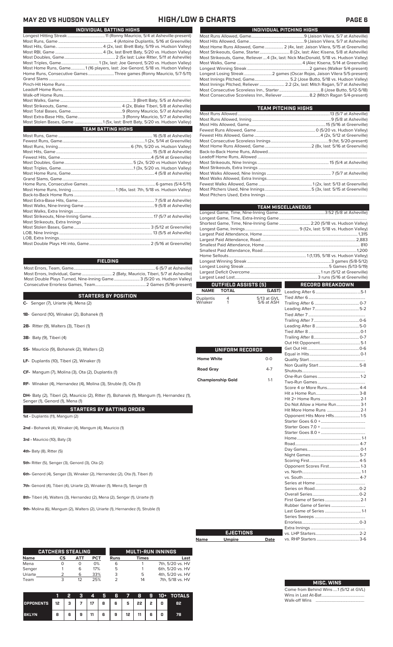### **MAY 20 VS HUDSON VALLEY HIGH/LOW & CHARTS PAGE 6** ı

| <b>INDIVIDUAL BATTING HIGHS</b> |                                                                              |  |  |  |  |
|---------------------------------|------------------------------------------------------------------------------|--|--|--|--|
|                                 |                                                                              |  |  |  |  |
|                                 |                                                                              |  |  |  |  |
|                                 |                                                                              |  |  |  |  |
|                                 |                                                                              |  |  |  |  |
|                                 |                                                                              |  |  |  |  |
|                                 |                                                                              |  |  |  |  |
|                                 | Most Home Runs, Game1 (16 players, last: Joe Genord, 5/18 vs. Hudson Valley) |  |  |  |  |
|                                 | Home Runs, Consecutive Games Three games (Ronny Mauricio, 5/7-5/11)          |  |  |  |  |
|                                 |                                                                              |  |  |  |  |
|                                 |                                                                              |  |  |  |  |
|                                 |                                                                              |  |  |  |  |
|                                 |                                                                              |  |  |  |  |
|                                 |                                                                              |  |  |  |  |
|                                 |                                                                              |  |  |  |  |
|                                 |                                                                              |  |  |  |  |
|                                 |                                                                              |  |  |  |  |
|                                 | Most Stolen Bases, Game 1 (5x, last: Brett Baty, 5/20 vs. Hudson Valley)     |  |  |  |  |
|                                 | <b>TEAM BATTING HIGHS</b>                                                    |  |  |  |  |
|                                 |                                                                              |  |  |  |  |
|                                 |                                                                              |  |  |  |  |
|                                 |                                                                              |  |  |  |  |
|                                 |                                                                              |  |  |  |  |
|                                 |                                                                              |  |  |  |  |
|                                 |                                                                              |  |  |  |  |
|                                 |                                                                              |  |  |  |  |
|                                 |                                                                              |  |  |  |  |
|                                 |                                                                              |  |  |  |  |
|                                 |                                                                              |  |  |  |  |
|                                 |                                                                              |  |  |  |  |
|                                 |                                                                              |  |  |  |  |
|                                 |                                                                              |  |  |  |  |
|                                 |                                                                              |  |  |  |  |
|                                 |                                                                              |  |  |  |  |
|                                 |                                                                              |  |  |  |  |
|                                 |                                                                              |  |  |  |  |
|                                 |                                                                              |  |  |  |  |
|                                 |                                                                              |  |  |  |  |
|                                 |                                                                              |  |  |  |  |
|                                 |                                                                              |  |  |  |  |

### **FIELDING**

Most Errors, Team, Game...............................................................................6 (5/7 at Asheville) .<br>Most Errors, Mauricio, Tiberi, 5/7 at Asheville) 2.<br>e......................... 3 (5/20 vs. Hudson Valley) Most Double Plays Turned, Nine-Inning Game......................... 3 (5/20 vs. Hudson Valley) Consecutive Errorless Games, Team...

### **STARTERS BY POSITION**

- **C-** Senger (7), Uriarte (4), Mena (2)
- **1B-** Genord (10), Winaker (2), Bohanek (1)
- **2B-** Ritter (9), Walters (3), Tiberi (1)
- **3B-** Baty (9), Tiberi (4)
- **SS-** Mauricio (9), Bohanek (2), Walters (2)
- **LF-** Duplantis (10), Tiberi (2), Winaker (1)
- **CF-** Mangum (7), Molina (3), Ota (2), Duplantis (1)
- **RF-** Winaker (4), Hernandez (4), Molina (3), Struble (1), Ota (1)

**STARTERS BY BATTING ORDER** DH- Baty (2), Tiberi (2), Mauricio (2), Ritter (1), Bohanek (1), Mangum (1), Hernandez (1), Senger (1), Genord (1), Mena (1)

**1st -** Duplantis (11), Mangum (2)

**2nd -** Bohanek (4), Winaker (4), Mangum (4), Mauricio (1)

**3rd -** Mauricio (10), Baty (3)

**4th-** Baty (8), Ritter (5)

**5th-** Ritter (5), Senger (3), Genord (3), Ota (2)

**6th-** Genord (4), Senger (3), Winaker (2), Hernandez (2), Ota (1), Tiberi (1)

**7th-** Genord (4), Tiberi (4), Uriarte (2), Winaker (1), Mena (1), Senger (1)

**8th-** Tiberi (4), Walters (3), Hernandez (2), Mena (2), Senger (1), Uriarte (1)

**9th-** Molina (6), Mangum (2), Walters (2), Uriarte (1), Hernandez (1), Struble (1)

|             | <b>CATCHERS STEALING</b> |     |     |             | <b>MULTI-RUN INNINGS</b> |                  |
|-------------|--------------------------|-----|-----|-------------|--------------------------|------------------|
| <b>Name</b> | СS                       | АТТ | PCT | <b>Runs</b> | Times                    | Last             |
| Mena        |                          | O   | 0%  | 6           |                          | 7th, 5/20 vs. HV |
| Senger      |                          | 6   | 17% | 5           |                          | 6th, 5/20 vs. HV |
| Uriarte     |                          | 6   | 33% | 3           | 5                        | 4th, 5/20 vs. HV |
| Team        |                          | 12  | 25% |             | 14                       | 7th, 5/18 vs. HV |

|                                    |   | 2 | ್ | $\boldsymbol{A}$ |   | 5678 |               |   |   | <b>9 10+ TOTALS</b> |
|------------------------------------|---|---|---|------------------|---|------|---------------|---|---|---------------------|
| OPPONENTS 12 3 7 7 17 8 6 5 22 2 0 |   |   |   |                  |   |      |               |   |   | 82                  |
| <b>BKLYN</b>                       | 8 | 6 | 9 | $11 \quad$       | 6 |      | $9$   12   11 | 6 | o | 78                  |

| INDIVIDUAL PITCHING HIGHS                                                           |
|-------------------------------------------------------------------------------------|
|                                                                                     |
|                                                                                     |
| Most Home Runs Allowed, Game 2 (4x, last: Jaison Vilera, 5/15 at Greenville)        |
|                                                                                     |
| Most Strikeouts, Game, Reliever4 (3x, last: Nick MacDonald, 5/18 vs. Hudson Valley) |
|                                                                                     |
|                                                                                     |
|                                                                                     |
|                                                                                     |
| Most Innings Pitched, Reliever  2.2 (2x, last: Mitch Ragan, 5/7 at Asheville)       |
|                                                                                     |
| Most Consecutive Scoreless Inn., Reliever 8.2 (Mitch Ragan 5/4-present)             |
|                                                                                     |

| TEAM PITCHING HIGHS |  |  |  |  |  |  |
|---------------------|--|--|--|--|--|--|
|                     |  |  |  |  |  |  |
|                     |  |  |  |  |  |  |
|                     |  |  |  |  |  |  |
|                     |  |  |  |  |  |  |
|                     |  |  |  |  |  |  |
|                     |  |  |  |  |  |  |
|                     |  |  |  |  |  |  |
|                     |  |  |  |  |  |  |
|                     |  |  |  |  |  |  |
|                     |  |  |  |  |  |  |
|                     |  |  |  |  |  |  |
|                     |  |  |  |  |  |  |
|                     |  |  |  |  |  |  |
|                     |  |  |  |  |  |  |
|                     |  |  |  |  |  |  |
|                     |  |  |  |  |  |  |

|                          |                      |             | <b>TEAM MISCELLANEOUS</b>                                            |  |  |  |  |
|--------------------------|----------------------|-------------|----------------------------------------------------------------------|--|--|--|--|
|                          |                      |             |                                                                      |  |  |  |  |
|                          |                      |             |                                                                      |  |  |  |  |
|                          |                      |             | Shortest Game, Time, Nine-Inning Game  2:20 (5/18 vs. Hudson Valley) |  |  |  |  |
|                          |                      |             |                                                                      |  |  |  |  |
|                          |                      |             |                                                                      |  |  |  |  |
|                          |                      |             |                                                                      |  |  |  |  |
|                          |                      |             |                                                                      |  |  |  |  |
|                          |                      |             |                                                                      |  |  |  |  |
|                          |                      |             |                                                                      |  |  |  |  |
|                          |                      |             |                                                                      |  |  |  |  |
|                          |                      |             |                                                                      |  |  |  |  |
|                          |                      |             |                                                                      |  |  |  |  |
|                          | OUTFIELD ASSISTS (5) |             | RECORD BREAKDOWN                                                     |  |  |  |  |
| <b>NAME</b>              | TOTAL                | (LAST)      |                                                                      |  |  |  |  |
| Duplantis                | 4                    | 5/13 at GVL |                                                                      |  |  |  |  |
| Winaker                  | 1                    | 5/6 at ASH  |                                                                      |  |  |  |  |
|                          |                      |             |                                                                      |  |  |  |  |
|                          |                      |             |                                                                      |  |  |  |  |
|                          |                      |             |                                                                      |  |  |  |  |
|                          |                      |             |                                                                      |  |  |  |  |
|                          |                      |             |                                                                      |  |  |  |  |
|                          |                      |             |                                                                      |  |  |  |  |
|                          |                      |             |                                                                      |  |  |  |  |
|                          | UNIFORM RECORDS      |             |                                                                      |  |  |  |  |
|                          |                      |             |                                                                      |  |  |  |  |
| <b>Home White</b>        |                      | $0 - 0$     |                                                                      |  |  |  |  |
|                          |                      |             |                                                                      |  |  |  |  |
| <b>Road Gray</b>         |                      | $4 - 7$     |                                                                      |  |  |  |  |
| <b>Championship Gold</b> |                      | $1 - 1$     |                                                                      |  |  |  |  |
|                          |                      |             |                                                                      |  |  |  |  |
|                          |                      |             |                                                                      |  |  |  |  |
|                          |                      |             |                                                                      |  |  |  |  |
|                          |                      |             |                                                                      |  |  |  |  |
|                          |                      |             | Do Not Allow a Home Run 3-1                                          |  |  |  |  |
|                          |                      |             | Hit More Home Runs  2-1                                              |  |  |  |  |
|                          |                      |             | Opponent Hits More HRs1-5                                            |  |  |  |  |
|                          |                      |             |                                                                      |  |  |  |  |
|                          |                      |             |                                                                      |  |  |  |  |
|                          |                      |             |                                                                      |  |  |  |  |
|                          |                      |             |                                                                      |  |  |  |  |
|                          |                      |             |                                                                      |  |  |  |  |
|                          |                      |             |                                                                      |  |  |  |  |
|                          |                      |             |                                                                      |  |  |  |  |
|                          |                      |             |                                                                      |  |  |  |  |
|                          |                      |             |                                                                      |  |  |  |  |
|                          |                      |             |                                                                      |  |  |  |  |
|                          |                      |             |                                                                      |  |  |  |  |
|                          |                      |             |                                                                      |  |  |  |  |
|                          |                      |             |                                                                      |  |  |  |  |
|                          |                      |             |                                                                      |  |  |  |  |
|                          |                      |             |                                                                      |  |  |  |  |
|                          |                      |             |                                                                      |  |  |  |  |
|                          |                      |             |                                                                      |  |  |  |  |
|                          |                      |             |                                                                      |  |  |  |  |
|                          |                      |             |                                                                      |  |  |  |  |
|                          | <b>EJECTIONS</b>     |             |                                                                      |  |  |  |  |
|                          |                      |             |                                                                      |  |  |  |  |

**Name Umpire Date**

## **MISC. WINS**

vs. RHP Starters .........................................3-6

Come from Behind Wins ....1 (5/12 at GVL) Wins in Last At-Bat.... Walk-off Wins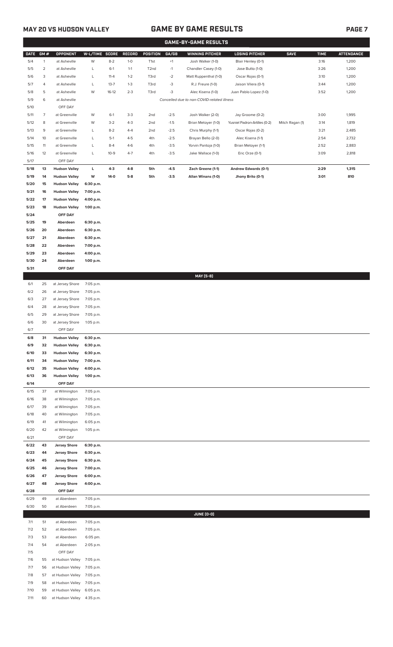## **MAY 20 VS HUDSON VALLEY GAME BY GAME RESULTS PAGE 7**

|              |                |                                      |                        |                  |                    |                   |                  | <b>GAME-BY-GAME RESULTS</b>                |                                        |                 |              |                   |
|--------------|----------------|--------------------------------------|------------------------|------------------|--------------------|-------------------|------------------|--------------------------------------------|----------------------------------------|-----------------|--------------|-------------------|
| <b>DATE</b>  | GM#            | <b>OPPONENT</b>                      | W-L/TIME SCORE         |                  | RECORD             | POSITION          | GA/GB            | <b>WINNING PITCHER</b>                     | <b>LOSING PITCHER</b>                  | <b>SAVE</b>     | <b>TIME</b>  | <b>ATTENDANCE</b> |
| 5/4          | $\mathbf{1}$   | at Asheville                         | W                      | $8 - 2$          | $1-0$              | T <sub>1st</sub>  | $+1$             | Josh Walker (1-0)                          | Blair Henley (0-1)                     |                 | 3:16         | 1,200             |
| 5/5          | $\overline{2}$ | at Asheville                         | L                      | $6-1$            | $1 - 1$            | T <sub>2</sub> nd | $-1$             | Chandler Casey (1-0)                       | Jose Butto (1-0)                       |                 | 3:26         | 1,200             |
| 5/6          | 3              | at Asheville                         | L                      | $11 - 4$         | $1 - 2$            | T3rd              | $-2$             | Matt Ruppenthal (1-0)                      | Oscar Rojas (0-1)                      |                 | 3:10         | 1,200             |
| 5/7          | 4              | at Asheville                         | L                      | $13 - 7$         | $1 - 3$            | T3rd              | $-3$             | R.J. Freure (1-0)                          | Jaison Vilera (0-1)                    |                 | 3:44         | 1,200             |
| 5/8          | 5              | at Asheville                         | W                      | $16-12$          | $2 - 3$            | T3rd              | $-3$             | Alec Kisena (1-0)                          | Juan Pablo Lopez (1-0)                 |                 | 3:52         | 1,200             |
| 5/9          | 6              | at Asheville                         |                        |                  |                    |                   |                  | Cancelled due to non-COVID-related illness |                                        |                 |              |                   |
| 5/10         |                | OFF DAY                              |                        |                  |                    |                   |                  |                                            |                                        |                 |              |                   |
| 5/11         | 7              | at Greenville                        | W                      | $6-1$            | $3-3$              | 2nd               | $-2.5$           | Josh Walker (2-0)                          | Jay Groome (0-2)                       |                 | 3:00         | 1,995             |
| 5/12         | 8              | at Greenville                        | W                      | $3-2$            | $4 - 3$            | 2nd               | $-1.5$           | Brian Metoyer (1-0)                        | Yusniel Padron-Artilles (0-2)          | Mitch Ragan (1) | 3:14         | 1,819             |
| 5/13<br>5/14 | 9<br>10        | at Greenville<br>at Greenville       | L<br>L                 | $8 - 2$<br>$5-1$ | $4 - 4$<br>$4 - 5$ | 2nd<br>4th        | $-2.5$<br>$-2.5$ | Chris Murphy (1-1)<br>Brayan Bello (2-0)   | Oscar Rojas (0-2)<br>Alec Kisena (1-1) |                 | 3:21<br>2:54 | 2,485<br>2,732    |
| 5/15         | 11             | at Greenville                        | L                      | $8-4$            | $4-6$              | 4th               | $-3.5$           | Yorvin Pantoja (1-0)                       | Brian Metoyer (1-1)                    |                 | 2:52         | 2,883             |
| 5/16         | 12             | at Greenville                        | L                      | $10-9$           | $4 - 7$            | 4th               | $-3.5$           | Jake Wallace (1-0)                         | Eric Orze (0-1)                        |                 | 3:09         | 2,818             |
| 5/17         |                | OFF DAY                              |                        |                  |                    |                   |                  |                                            |                                        |                 |              |                   |
| $5/18$       | 13             | <b>Hudson Valley</b>                 | L.                     | $4-3$            | 4-8                | 5th               | $-4.5$           | Zach Greene (1-1)                          | <b>Andrew Edwards (0-1)</b>            |                 | 2:29         | 1,315             |
| 5/19         | 14             | <b>Hudson Valley</b>                 | W                      | 14-0             | $5-8$              | 5th               | $-3.5$           | Allan Winans (1-0)                         | Jhony Brito (0-1)                      |                 | 3:01         | 810               |
| 5/20         | 15             | <b>Hudson Valley</b>                 | 6:30 p.m.              |                  |                    |                   |                  |                                            |                                        |                 |              |                   |
| 5/21         | 16             | <b>Hudson Valley</b>                 | 7:00 p.m.              |                  |                    |                   |                  |                                            |                                        |                 |              |                   |
| 5/22         | 17             | <b>Hudson Valley</b>                 | 4:00 p.m.              |                  |                    |                   |                  |                                            |                                        |                 |              |                   |
| 5/23         | 18             | <b>Hudson Valley</b>                 | 1:00 p.m.              |                  |                    |                   |                  |                                            |                                        |                 |              |                   |
| 5/24         |                | OFF DAY                              |                        |                  |                    |                   |                  |                                            |                                        |                 |              |                   |
| 5/25         | 19             | Aberdeen                             | 6:30 p.m.              |                  |                    |                   |                  |                                            |                                        |                 |              |                   |
| 5/26         | 20             | Aberdeen                             | 6:30 p.m.              |                  |                    |                   |                  |                                            |                                        |                 |              |                   |
| 5/27         | 21             | Aberdeen                             | 6:30 p.m.              |                  |                    |                   |                  |                                            |                                        |                 |              |                   |
| 5/28         | 22             | Aberdeen                             | 7:00 p.m.              |                  |                    |                   |                  |                                            |                                        |                 |              |                   |
| 5/29         | 23             | Aberdeen                             | 4:00 p.m.              |                  |                    |                   |                  |                                            |                                        |                 |              |                   |
| 5/30<br>5/31 | 24             | Aberdeen<br>OFF DAY                  | 1:00 p.m.              |                  |                    |                   |                  |                                            |                                        |                 |              |                   |
|              |                |                                      |                        |                  |                    |                   |                  | MAY [5-8]                                  |                                        |                 |              |                   |
| 6/1          | 25             | at Jersey Shore                      | 7:05 p.m.              |                  |                    |                   |                  |                                            |                                        |                 |              |                   |
| 6/2          | 26             | at Jersey Shore                      | 7:05 p.m.              |                  |                    |                   |                  |                                            |                                        |                 |              |                   |
| 6/3          | 27             | at Jersey Shore                      | 7:05 p.m.              |                  |                    |                   |                  |                                            |                                        |                 |              |                   |
| 6/4          | 28             | at Jersey Shore                      | 7:05 p.m.              |                  |                    |                   |                  |                                            |                                        |                 |              |                   |
| 6/5          | 29             | at Jersey Shore                      | 7:05 p.m.              |                  |                    |                   |                  |                                            |                                        |                 |              |                   |
| 6/6          | 30             | at Jersey Shore                      | 1:05 p.m.              |                  |                    |                   |                  |                                            |                                        |                 |              |                   |
| 6/7          |                | OFF DAY                              |                        |                  |                    |                   |                  |                                            |                                        |                 |              |                   |
| 6/8          | 31             | <b>Hudson Valley</b>                 | 6:30 p.m.              |                  |                    |                   |                  |                                            |                                        |                 |              |                   |
| 6/9          | 32             | <b>Hudson Valley</b>                 | 6:30 p.m.              |                  |                    |                   |                  |                                            |                                        |                 |              |                   |
| 6/10         | 33             | <b>Hudson Valley</b>                 | 6:30 p.m.              |                  |                    |                   |                  |                                            |                                        |                 |              |                   |
| 6/11         | 34             | <b>Hudson Valley</b>                 | 7:00 p.m.              |                  |                    |                   |                  |                                            |                                        |                 |              |                   |
| 6/12         | 35             | <b>Hudson Valley</b>                 | 4:00 p.m.              |                  |                    |                   |                  |                                            |                                        |                 |              |                   |
| 6/13         | 36             | <b>Hudson Valley</b>                 | 1:00 p.m.              |                  |                    |                   |                  |                                            |                                        |                 |              |                   |
| 6/14         |                | OFF DAY                              |                        |                  |                    |                   |                  |                                            |                                        |                 |              |                   |
| 6/15         | 37             | at Wilmington                        | 7:05 p.m.              |                  |                    |                   |                  |                                            |                                        |                 |              |                   |
| 6/16<br>6/17 | 38<br>39       | at Wilmington<br>at Wilmington       | 7:05 p.m.<br>7:05 p.m. |                  |                    |                   |                  |                                            |                                        |                 |              |                   |
| 6/18         | 40             | at Wilmington                        | 7:05 p.m.              |                  |                    |                   |                  |                                            |                                        |                 |              |                   |
| 6/19         | 41             | at Wilmington                        | 6:05 p.m.              |                  |                    |                   |                  |                                            |                                        |                 |              |                   |
| 6/20         | 42             | at Wilmington                        | 1:05 p.m.              |                  |                    |                   |                  |                                            |                                        |                 |              |                   |
| 6/21         |                | OFF DAY                              |                        |                  |                    |                   |                  |                                            |                                        |                 |              |                   |
| 6/22         | 43             | <b>Jersey Shore</b>                  | 6:30 p.m.              |                  |                    |                   |                  |                                            |                                        |                 |              |                   |
| 6/23         | 44             | <b>Jersey Shore</b>                  | 6:30 p.m.              |                  |                    |                   |                  |                                            |                                        |                 |              |                   |
| 6/24         | 45             | <b>Jersey Shore</b>                  | 6:30 p.m.              |                  |                    |                   |                  |                                            |                                        |                 |              |                   |
| 6/25         | 46             | <b>Jersey Shore</b>                  | 7:00 p.m.              |                  |                    |                   |                  |                                            |                                        |                 |              |                   |
| 6/26         | 47             | <b>Jersey Shore</b>                  | 6:00 p.m.              |                  |                    |                   |                  |                                            |                                        |                 |              |                   |
| 6/27         | 48             | <b>Jersey Shore</b>                  | 4:00 p.m.              |                  |                    |                   |                  |                                            |                                        |                 |              |                   |
| 6/28         |                | OFF DAY                              |                        |                  |                    |                   |                  |                                            |                                        |                 |              |                   |
| 6/29         | 49             | at Aberdeen                          | 7:05 p.m.              |                  |                    |                   |                  |                                            |                                        |                 |              |                   |
| 6/30         | 50             | at Aberdeen                          | 7:05 p.m.              |                  |                    |                   |                  |                                            |                                        |                 |              |                   |
|              |                |                                      |                        |                  |                    |                   |                  | <b>JUNE (0-0)</b>                          |                                        |                 |              |                   |
| 7/1          | 51             | at Aberdeen                          | 7:05 p.m.              |                  |                    |                   |                  |                                            |                                        |                 |              |                   |
| 7/2          | 52             | at Aberdeen                          | 7:05 p.m.              |                  |                    |                   |                  |                                            |                                        |                 |              |                   |
| 7/3          | 53             | at Aberdeen                          | 6:05 pm.               |                  |                    |                   |                  |                                            |                                        |                 |              |                   |
| 7/4          | 54             | at Aberdeen                          | 2:05 p.m.              |                  |                    |                   |                  |                                            |                                        |                 |              |                   |
| 7/5          |                | OFF DAY                              |                        |                  |                    |                   |                  |                                            |                                        |                 |              |                   |
| 7/6          | 55             | at Hudson Valley                     | 7:05 p.m.              |                  |                    |                   |                  |                                            |                                        |                 |              |                   |
| 7/7          | 56             | at Hudson Valley                     | 7:05 p.m.              |                  |                    |                   |                  |                                            |                                        |                 |              |                   |
| 7/8<br>7/9   | 57<br>58       | at Hudson Valley<br>at Hudson Valley | 7:05 p.m.<br>7:05 p.m. |                  |                    |                   |                  |                                            |                                        |                 |              |                   |
| 7/10         | 59             | at Hudson Valley                     | 6:05 p.m.              |                  |                    |                   |                  |                                            |                                        |                 |              |                   |
|              |                |                                      |                        |                  |                    |                   |                  |                                            |                                        |                 |              |                   |

7/11 60 at Hudson Valley 4:35 p.m.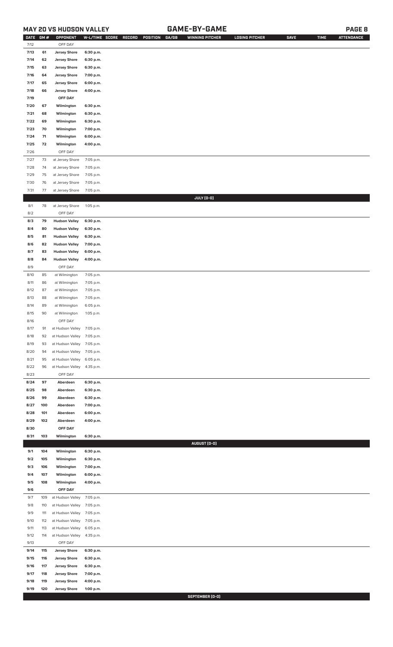## **MAY 20 VS HUDSON VALLEY GAME-BY-GAME PAGE 8**

| <b>DATE</b> | GM# | OPPONENT                   |           | W-L/TIME SCORE RECORD<br>POSITION<br>GA/GB | <b>WINNING PITCHER</b> | <b>LOSING PITCHER</b> | <b>SAVE</b> | <b>TIME</b> | <b>ATTENDANCE</b> |
|-------------|-----|----------------------------|-----------|--------------------------------------------|------------------------|-----------------------|-------------|-------------|-------------------|
| 7/12        |     | OFF DAY                    |           |                                            |                        |                       |             |             |                   |
| 7/13        | 61  | <b>Jersey Shore</b>        | 6:30 p.m. |                                            |                        |                       |             |             |                   |
| 7/14        | 62  | <b>Jersey Shore</b>        | 6:30 p.m. |                                            |                        |                       |             |             |                   |
| 7/15        | 63  | <b>Jersey Shore</b>        | 6:30 p.m. |                                            |                        |                       |             |             |                   |
| 7/16        | 64  | <b>Jersey Shore</b>        | 7:00 p.m. |                                            |                        |                       |             |             |                   |
| 7/17        | 65  | <b>Jersey Shore</b>        | 6:00 p.m. |                                            |                        |                       |             |             |                   |
|             |     |                            |           |                                            |                        |                       |             |             |                   |
| 7/18        | 66  | <b>Jersey Shore</b>        | 4:00 p.m. |                                            |                        |                       |             |             |                   |
| 7/19        |     | OFF DAY                    |           |                                            |                        |                       |             |             |                   |
| 7/20        | 67  | Wilmington                 | 6:30 p.m. |                                            |                        |                       |             |             |                   |
| 7/21        | 68  | Wilmington                 | 6:30 p.m. |                                            |                        |                       |             |             |                   |
| 7/22        | 69  | Wilmington                 | 6:30 p.m. |                                            |                        |                       |             |             |                   |
| 7/23        | 70  | Wilmington                 | 7:00 p.m. |                                            |                        |                       |             |             |                   |
| 7/24        | 71  | Wilmington                 | 6:00 p.m. |                                            |                        |                       |             |             |                   |
| 7/25        | 72  | Wilmington                 | 4:00 p.m. |                                            |                        |                       |             |             |                   |
| 7/26        |     | OFF DAY                    |           |                                            |                        |                       |             |             |                   |
| 7/27        | 73  | at Jersey Shore            | 7:05 p.m. |                                            |                        |                       |             |             |                   |
| 7/28        | 74  | at Jersey Shore            | 7:05 p.m. |                                            |                        |                       |             |             |                   |
| 7/29        | 75  | at Jersey Shore            | 7:05 p.m. |                                            |                        |                       |             |             |                   |
| 7/30        | 76  | at Jersey Shore            | 7:05 p.m. |                                            |                        |                       |             |             |                   |
|             |     |                            |           |                                            |                        |                       |             |             |                   |
| 7/31        | 77  | at Jersey Shore            | 7:05 p.m. |                                            | JULY (0-0)             |                       |             |             |                   |
| 8/1         | 78  |                            | 1:05 p.m. |                                            |                        |                       |             |             |                   |
|             |     | at Jersey Shore            |           |                                            |                        |                       |             |             |                   |
| 8/2         |     | OFF DAY                    |           |                                            |                        |                       |             |             |                   |
| 8/3         | 79  | <b>Hudson Valley</b>       | 6:30 p.m. |                                            |                        |                       |             |             |                   |
| 8/4         | 80  | <b>Hudson Valley</b>       | 6:30 p.m. |                                            |                        |                       |             |             |                   |
| 8/5         | 81  | <b>Hudson Valley</b>       | 6:30 p.m. |                                            |                        |                       |             |             |                   |
| 8/6         | 82  | <b>Hudson Valley</b>       | 7:00 p.m. |                                            |                        |                       |             |             |                   |
| 8/7         | 83  | <b>Hudson Valley</b>       | 6:00 p.m. |                                            |                        |                       |             |             |                   |
| 8/8         | 84  | <b>Hudson Valley</b>       | 4:00 p.m. |                                            |                        |                       |             |             |                   |
| 8/9         |     | OFF DAY                    |           |                                            |                        |                       |             |             |                   |
| 8/10        | 85  | at Wilmington              | 7:05 p.m. |                                            |                        |                       |             |             |                   |
| 8/11        | 86  | at Wilmington              | 7:05 p.m. |                                            |                        |                       |             |             |                   |
| 8/12        | 87  | at Wilmington              | 7:05 p.m. |                                            |                        |                       |             |             |                   |
| 8/13        | 88  | at Wilmington              | 7:05 p.m. |                                            |                        |                       |             |             |                   |
| 8/14        | 89  | at Wilmington              | 6:05 p.m. |                                            |                        |                       |             |             |                   |
| 8/15        | 90  | at Wilmington              | 1:05 p.m. |                                            |                        |                       |             |             |                   |
| 8/16        |     | OFF DAY                    |           |                                            |                        |                       |             |             |                   |
| 8/17        | 91  | at Hudson Valley 7:05 p.m. |           |                                            |                        |                       |             |             |                   |
| 8/18        | 92  | at Hudson Valley           | 7:05 p.m. |                                            |                        |                       |             |             |                   |
| 8/19        | 93  | at Hudson Valley           | 7:05 p.m. |                                            |                        |                       |             |             |                   |
| 8/20        | 94  | at Hudson Valley           | 7:05 p.m. |                                            |                        |                       |             |             |                   |
| 8/21        | 95  | at Hudson Valley           | 6:05 p.m. |                                            |                        |                       |             |             |                   |
| 8/22        |     |                            |           |                                            |                        |                       |             |             |                   |
|             | 96  | at Hudson Valley           | 4:35 p.m. |                                            |                        |                       |             |             |                   |
| 8/23        |     | OFF DAY                    |           |                                            |                        |                       |             |             |                   |
| 8/24        | 97  | Aberdeen                   | 6:30 p.m. |                                            |                        |                       |             |             |                   |
| 8/25        | 98  | Aberdeen                   | 6:30 p.m. |                                            |                        |                       |             |             |                   |
| 8/26        | 99  | Aberdeen                   | 6:30 p.m. |                                            |                        |                       |             |             |                   |
| 8/27        | 100 | Aberdeen                   | 7:00 p.m. |                                            |                        |                       |             |             |                   |
| 8/28        | 101 | Aberdeen                   | 6:00 p.m. |                                            |                        |                       |             |             |                   |
| 8/29        | 102 | Aberdeen                   | 4:00 p.m. |                                            |                        |                       |             |             |                   |
| 8/30        |     | OFF DAY                    |           |                                            |                        |                       |             |             |                   |
| 8/31        | 103 | Wilmington                 | 6:30 p.m. |                                            |                        |                       |             |             |                   |
|             |     |                            |           |                                            | AUGUST (0-0)           |                       |             |             |                   |
| 9/1         | 104 | Wilmington                 | 6:30 p.m. |                                            |                        |                       |             |             |                   |
| 9/2         | 105 | Wilmington                 | 6:30 p.m. |                                            |                        |                       |             |             |                   |
| 9/3         | 106 | Wilmington                 | 7:00 p.m. |                                            |                        |                       |             |             |                   |
| 9/4         | 107 | Wilmington                 | 6:00 p.m. |                                            |                        |                       |             |             |                   |
| 9/5         | 108 | Wilmington                 | 4:00 p.m. |                                            |                        |                       |             |             |                   |
| 9/6         |     | OFF DAY                    |           |                                            |                        |                       |             |             |                   |
| 9/7         | 109 | at Hudson Valley           | 7:05 p.m. |                                            |                        |                       |             |             |                   |
| 9/8         | 110 | at Hudson Valley           | 7:05 p.m. |                                            |                        |                       |             |             |                   |
| 9/9         | 111 | at Hudson Valley           | 7:05 p.m. |                                            |                        |                       |             |             |                   |
| 9/10        | 112 | at Hudson Valley           | 7:05 p.m. |                                            |                        |                       |             |             |                   |
| 9/11        | 113 | at Hudson Valley           | 6:05 p.m. |                                            |                        |                       |             |             |                   |
| 9/12        | 114 | at Hudson Valley           | 4:35 p.m. |                                            |                        |                       |             |             |                   |
| 9/13        |     | OFF DAY                    |           |                                            |                        |                       |             |             |                   |
| 9/14        | 115 | <b>Jersey Shore</b>        | 6:30 p.m. |                                            |                        |                       |             |             |                   |
| 9/15        | 116 | <b>Jersey Shore</b>        | 6:30 p.m. |                                            |                        |                       |             |             |                   |
| 9/16        | 117 | <b>Jersey Shore</b>        | 6:30 p.m. |                                            |                        |                       |             |             |                   |
| 9/17        | 118 | <b>Jersey Shore</b>        | 7:00 p.m. |                                            |                        |                       |             |             |                   |
| 9/18        | 119 | <b>Jersey Shore</b>        | 4:00 p.m. |                                            |                        |                       |             |             |                   |
| 9/19        | 120 | <b>Jersey Shore</b>        | 1:00 p.m. |                                            |                        |                       |             |             |                   |
|             |     |                            |           |                                            |                        |                       |             |             |                   |